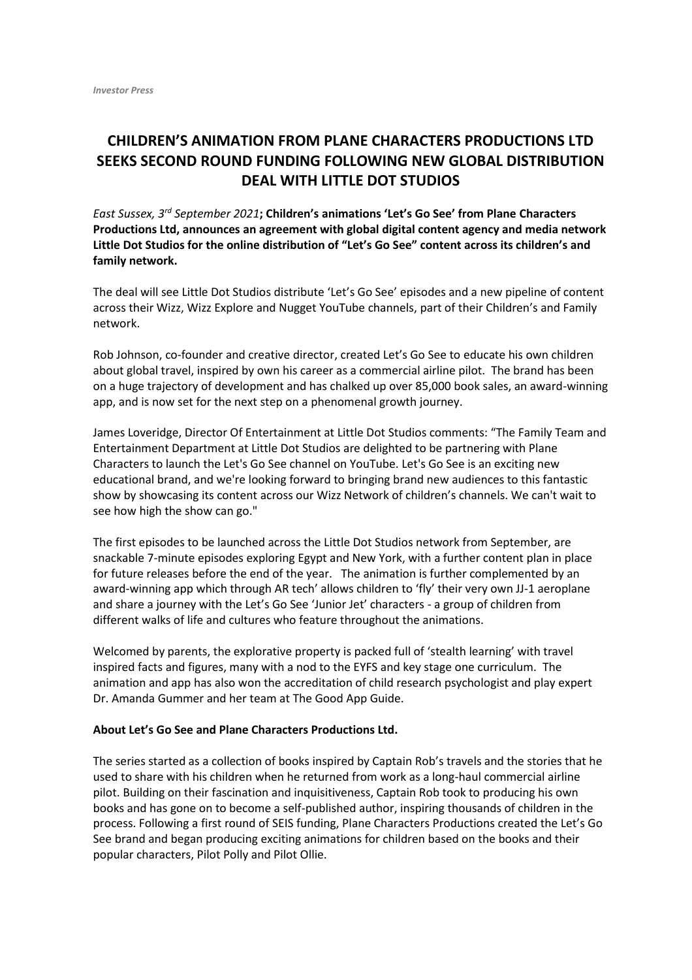## **CHILDREN'S ANIMATION FROM PLANE CHARACTERS PRODUCTIONS LTD SEEKS SECOND ROUND FUNDING FOLLOWING NEW GLOBAL DISTRIBUTION DEAL WITH LITTLE DOT STUDIOS**

*East Sussex, 3rd September 2021***; Children's animations 'Let's Go See' from Plane Characters Productions Ltd, announces an agreement with global digital content agency and media network Little Dot Studios for the online distribution of "Let's Go See" content across its children's and family network.** 

The deal will see Little Dot Studios distribute 'Let's Go See' episodes and a new pipeline of content across their Wizz, Wizz Explore and Nugget YouTube channels, part of their Children's and Family network.

Rob Johnson, co-founder and creative director, created Let's Go See to educate his own children about global travel, inspired by own his career as a commercial airline pilot. The brand has been on a huge trajectory of development and has chalked up over 85,000 book sales, an award-winning app, and is now set for the next step on a phenomenal growth journey.

James Loveridge, Director Of Entertainment at Little Dot Studios comments: "The Family Team and Entertainment Department at Little Dot Studios are delighted to be partnering with Plane Characters to launch the Let's Go See channel on YouTube. Let's Go See is an exciting new educational brand, and we're looking forward to bringing brand new audiences to this fantastic show by showcasing its content across our Wizz Network of children's channels. We can't wait to see how high the show can go."

The first episodes to be launched across the Little Dot Studios network from September, are snackable 7-minute episodes exploring Egypt and New York, with a further content plan in place for future releases before the end of the year. The animation is further complemented by an award-winning app which through AR tech' allows children to 'fly' their very own JJ-1 aeroplane and share a journey with the Let's Go See 'Junior Jet' characters - a group of children from different walks of life and cultures who feature throughout the animations.

Welcomed by parents, the explorative property is packed full of 'stealth learning' with travel inspired facts and figures, many with a nod to the EYFS and key stage one curriculum. The animation and app has also won the accreditation of child research psychologist and play expert Dr. Amanda Gummer and her team at The Good App Guide.

## **About Let's Go See and Plane Characters Productions Ltd.**

The series started as a collection of books inspired by Captain Rob's travels and the stories that he used to share with his children when he returned from work as a long-haul commercial airline pilot. Building on their fascination and inquisitiveness, Captain Rob took to producing his own books and has gone on to become a self-published author, inspiring thousands of children in the process. Following a first round of SEIS funding, Plane Characters Productions created the Let's Go See brand and began producing exciting animations for children based on the books and their popular characters, Pilot Polly and Pilot Ollie.